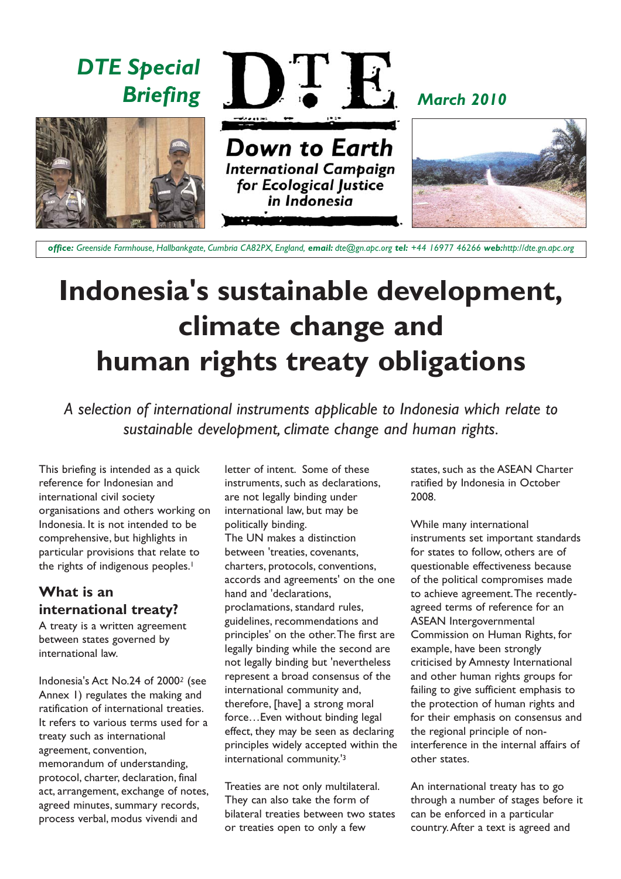

**Indonesia's sustainable development, climate change and human rights treaty obligations**

*A selection of international instruments applicable to Indonesia which relate to sustainable development, climate change and human rights.*

This briefing is intended as a quick reference for Indonesian and international civil society organisations and others working on Indonesia. It is not intended to be comprehensive, but highlights in particular provisions that relate to the rights of indigenous peoples.<sup>1</sup>

# **What is an international treaty?**

A treaty is a written agreement between states governed by international law.

Indonesia's Act No.24 of 2000*<sup>2</sup>* (see Annex 1) regulates the making and ratification of international treaties. It refers to various terms used for a treaty such as international agreement, convention, memorandum of understanding, protocol, charter, declaration, final act, arrangement, exchange of notes, agreed minutes, summary records, process verbal, modus vivendi and

letter of intent. Some of these instruments, such as declarations, are not legally binding under international law, but may be politically binding. The UN makes a distinction between 'treaties, covenants, charters, protocols, conventions,

accords and agreements' on the one hand and 'declarations, proclamations, standard rules, guidelines, recommendations and principles' on the other.The first are legally binding while the second are not legally binding but 'nevertheless represent a broad consensus of the international community and, therefore, [have] a strong moral force…Even without binding legal effect, they may be seen as declaring principles widely accepted within the international community.'3

Treaties are not only multilateral. They can also take the form of bilateral treaties between two states or treaties open to only a few

states, such as the ASEAN Charter ratified by Indonesia in October 2008.

While many international instruments set important standards for states to follow, others are of questionable effectiveness because of the political compromises made to achieve agreement.The recentlyagreed terms of reference for an ASEAN Intergovernmental Commission on Human Rights, for example, have been strongly criticised by Amnesty International and other human rights groups for failing to give sufficient emphasis to the protection of human rights and for their emphasis on consensus and the regional principle of noninterference in the internal affairs of other states.

An international treaty has to go through a number of stages before it can be enforced in a particular country.After a text is agreed and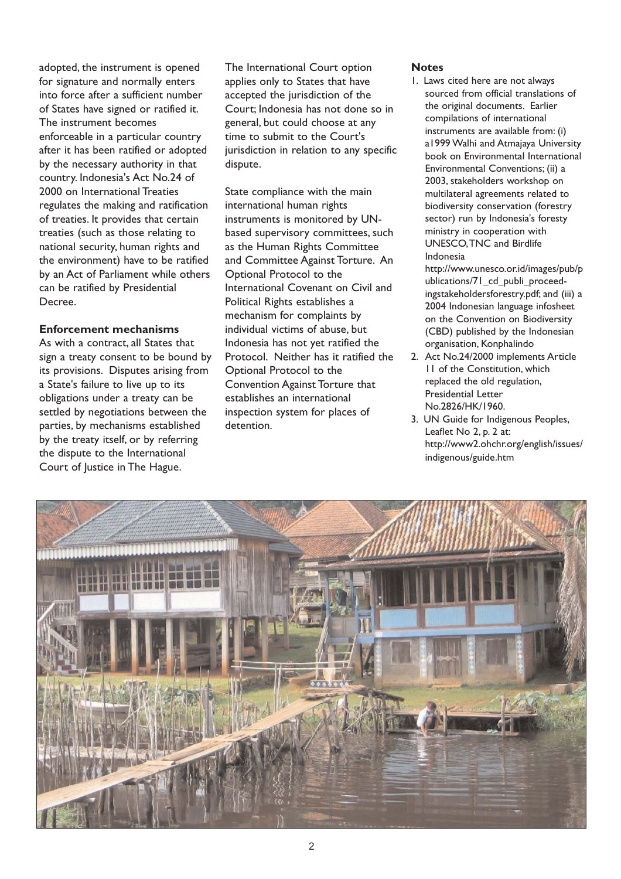adopted, the instrument is opened for signature and normally enters into force after a sufficient number of States have signed or ratified it. The instrument becomes enforceable in a particular country after it has been ratified or adopted by the necessary authority in that country. Indonesia's Act No.24 of 2000 on International Treaties regulates the making and ratification of treaties. It provides that certain treaties (such as those relating to national security, human rights and the environment) have to be ratified by an Act of Parliament while others can be ratified by Presidential Decree.

#### **Enforcement mechanisms**

As with a contract, all States that sign a treaty consent to be bound by its provisions. Disputes arising from a State's failure to live up to its obligations under a treaty can be settled by negotiations between the parties, by mechanisms established by the treaty itself, or by referring the dispute to the International Court of Justice in The Hague.

The International Court option applies only to States that have accepted the jurisdiction of the Court; Indonesia has not done so in general, but could choose at any time to submit to the Court's jurisdiction in relation to any specific dispute.

State compliance with the main international human rights instruments is monitored by UNbased supervisory committees, such as the Human Rights Committee and Committee Against Torture. An Optional Protocol to the International Covenant on Civil and Political Rights establishes a mechanism for complaints by individual victims of abuse, but Indonesia has not yet ratified the Protocol. Neither has it ratified the Optional Protocol to the Convention Against Torture that establishes an international inspection system for places of detention.

#### **Notes**

1. Laws cited here are not always sourced from official translations of the original documents. Earlier compilations of international instruments are available from: (i) a1999 Walhi and Atmajaya University book on Environmental International Environmental Conventions; (ii) a 2003, stakeholders workshop on multilateral agreements related to biodiversity conservation (forestry sector) run by Indonesia's foresty ministry in cooperation with UNESCO,TNC and Birdlife Indonesia

http://www.unesco.or.id/images/pub/p ublications/71\_cd\_publi\_proceedingstakeholdersforestry.pdf; and (iii) a 2004 Indonesian language infosheet on the Convention on Biodiversity (CBD) published by the Indonesian organisation, Konphalindo

- 2. Act No.24/2000 implements Article 11 of the Constitution, which replaced the old regulation, Presidential Letter No.2826/HK/1960.
- 3. UN Guide for Indigenous Peoples, Leaflet No 2, p. 2 at: http://www2.ohchr.org/english/issues/ indigenous/guide.htm

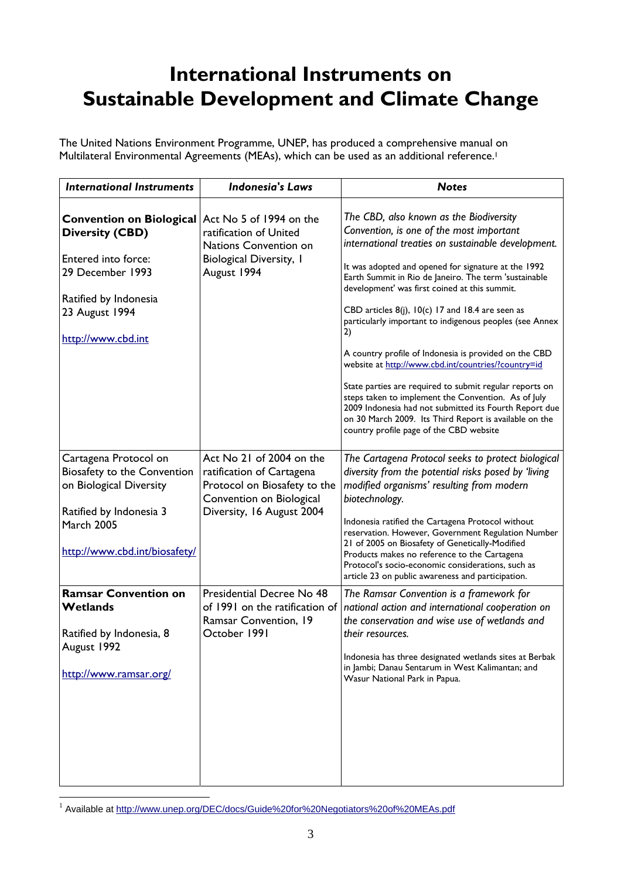# **International Instruments on Sustainable Development and Climate Change**

The United Nations Environment Programme, UNEP, has produced a comprehensive manual on Multilateral Environmental Agreements (MEAs), which can be used as an additional reference.<sup>1</sup>

| <b>International Instruments</b>                                                                                                                                 | <b>Indonesia's Laws</b>                                                                                                                        | <b>Notes</b>                                                                                                                                                                                                                                                                                                                                                                                                                                                                                                                                                                                                                                                                                                                                                                                                                          |
|------------------------------------------------------------------------------------------------------------------------------------------------------------------|------------------------------------------------------------------------------------------------------------------------------------------------|---------------------------------------------------------------------------------------------------------------------------------------------------------------------------------------------------------------------------------------------------------------------------------------------------------------------------------------------------------------------------------------------------------------------------------------------------------------------------------------------------------------------------------------------------------------------------------------------------------------------------------------------------------------------------------------------------------------------------------------------------------------------------------------------------------------------------------------|
| Convention on Biological<br><b>Diversity (CBD)</b><br>Entered into force:<br>29 December 1993<br>Ratified by Indonesia<br>23 August 1994<br>http://www.cbd.int   | Act No 5 of 1994 on the<br>ratification of United<br>Nations Convention on<br><b>Biological Diversity, I</b><br>August 1994                    | The CBD, also known as the Biodiversity<br>Convention, is one of the most important<br>international treaties on sustainable development.<br>It was adopted and opened for signature at the 1992<br>Earth Summit in Rio de Janeiro. The term 'sustainable<br>development' was first coined at this summit.<br>CBD articles $8(j)$ , $10(c)$ 17 and 18.4 are seen as<br>particularly important to indigenous peoples (see Annex<br>2)<br>A country profile of Indonesia is provided on the CBD<br>website at http://www.cbd.int/countries/?country=id<br>State parties are required to submit regular reports on<br>steps taken to implement the Convention. As of July<br>2009 Indonesia had not submitted its Fourth Report due<br>on 30 March 2009. Its Third Report is available on the<br>country profile page of the CBD website |
| Cartagena Protocol on<br>Biosafety to the Convention<br>on Biological Diversity<br>Ratified by Indonesia 3<br><b>March 2005</b><br>http://www.cbd.int/biosafety/ | Act No 21 of 2004 on the<br>ratification of Cartagena<br>Protocol on Biosafety to the<br>Convention on Biological<br>Diversity, 16 August 2004 | The Cartagena Protocol seeks to protect biological<br>diversity from the potential risks posed by 'living<br>modified organisms' resulting from modern<br>biotechnology.<br>Indonesia ratified the Cartagena Protocol without<br>reservation. However, Government Regulation Number<br>21 of 2005 on Biosafety of Genetically-Modified<br>Products makes no reference to the Cartagena<br>Protocol's socio-economic considerations, such as<br>article 23 on public awareness and participation.                                                                                                                                                                                                                                                                                                                                      |
| <b>Ramsar Convention on</b><br>Wetlands<br>Ratified by Indonesia, 8<br>August 1992<br>http://www.ramsar.org/                                                     | Presidential Decree No 48<br>of 1991 on the ratification of<br>Ramsar Convention, 19<br>October 1991                                           | The Ramsar Convention is a framework for<br>national action and international cooperation on<br>the conservation and wise use of wetlands and<br>their resources.<br>Indonesia has three designated wetlands sites at Berbak<br>in Jambi; Danau Sentarum in West Kalimantan; and<br>Wasur National Park in Papua.                                                                                                                                                                                                                                                                                                                                                                                                                                                                                                                     |

<sup>&</sup>lt;sup>1</sup> Available at http://www.unep.org/DEC/docs/Guide%20for%20Negotiators%20of%20MEAs.pdf

 $\overline{a}$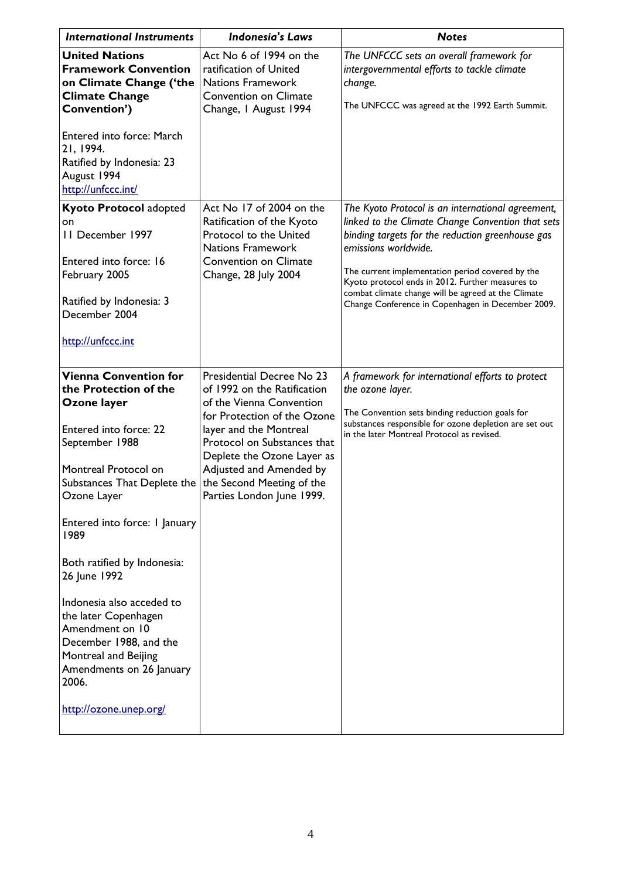| <b>International Instruments</b>                                                                                                                                                                                                     | <b>Indonesia's Laws</b>                                                                                                                                                                                                                                                                         | <b>Notes</b>                                                                                                                                                                                                                                                                                                                                                                                           |
|--------------------------------------------------------------------------------------------------------------------------------------------------------------------------------------------------------------------------------------|-------------------------------------------------------------------------------------------------------------------------------------------------------------------------------------------------------------------------------------------------------------------------------------------------|--------------------------------------------------------------------------------------------------------------------------------------------------------------------------------------------------------------------------------------------------------------------------------------------------------------------------------------------------------------------------------------------------------|
| <b>United Nations</b><br><b>Framework Convention</b><br>on Climate Change ('the<br><b>Climate Change</b><br>Convention')                                                                                                             | Act No 6 of 1994 on the<br>ratification of United<br><b>Nations Framework</b><br><b>Convention on Climate</b><br>Change, I August 1994                                                                                                                                                          | The UNFCCC sets an overall framework for<br>intergovernmental efforts to tackle climate<br>change.<br>The UNFCCC was agreed at the 1992 Earth Summit.                                                                                                                                                                                                                                                  |
| Entered into force: March<br>21, 1994.<br>Ratified by Indonesia: 23<br>August 1994<br>http://unfccc.int/                                                                                                                             |                                                                                                                                                                                                                                                                                                 |                                                                                                                                                                                                                                                                                                                                                                                                        |
| <b>Kyoto Protocol adopted</b><br>on<br>II December 1997<br>Entered into force: 16<br>February 2005<br>Ratified by Indonesia: 3<br>December 2004<br>http://unfccc.int                                                                 | Act No 17 of 2004 on the<br>Ratification of the Kyoto<br>Protocol to the United<br><b>Nations Framework</b><br><b>Convention on Climate</b><br>Change, 28 July 2004                                                                                                                             | The Kyoto Protocol is an international agreement,<br>linked to the Climate Change Convention that sets<br>binding targets for the reduction greenhouse gas<br>emissions worldwide.<br>The current implementation period covered by the<br>Kyoto protocol ends in 2012. Further measures to<br>combat climate change will be agreed at the Climate<br>Change Conference in Copenhagen in December 2009. |
|                                                                                                                                                                                                                                      |                                                                                                                                                                                                                                                                                                 |                                                                                                                                                                                                                                                                                                                                                                                                        |
| <b>Vienna Convention for</b><br>the Protection of the<br>Ozone layer<br>Entered into force: 22<br>September 1988<br>Montreal Protocol on<br>Substances That Deplete the<br>Ozone Layer<br>Entered into force: I January<br>1989      | Presidential Decree No 23<br>of 1992 on the Ratification<br>of the Vienna Convention<br>for Protection of the Ozone<br>layer and the Montreal<br>Protocol on Substances that<br>Deplete the Ozone Layer as<br>Adjusted and Amended by<br>the Second Meeting of the<br>Parties London June 1999. | A framework for international efforts to protect<br>the ozone layer.<br>The Convention sets binding reduction goals for<br>substances responsible for ozone depletion are set out<br>in the later Montreal Protocol as revised.                                                                                                                                                                        |
| Both ratified by Indonesia:<br>26 June 1992<br>Indonesia also acceded to<br>the later Copenhagen<br>Amendment on 10<br>December 1988, and the<br>Montreal and Beijing<br>Amendments on 26 January<br>2006.<br>http://ozone.unep.org/ |                                                                                                                                                                                                                                                                                                 |                                                                                                                                                                                                                                                                                                                                                                                                        |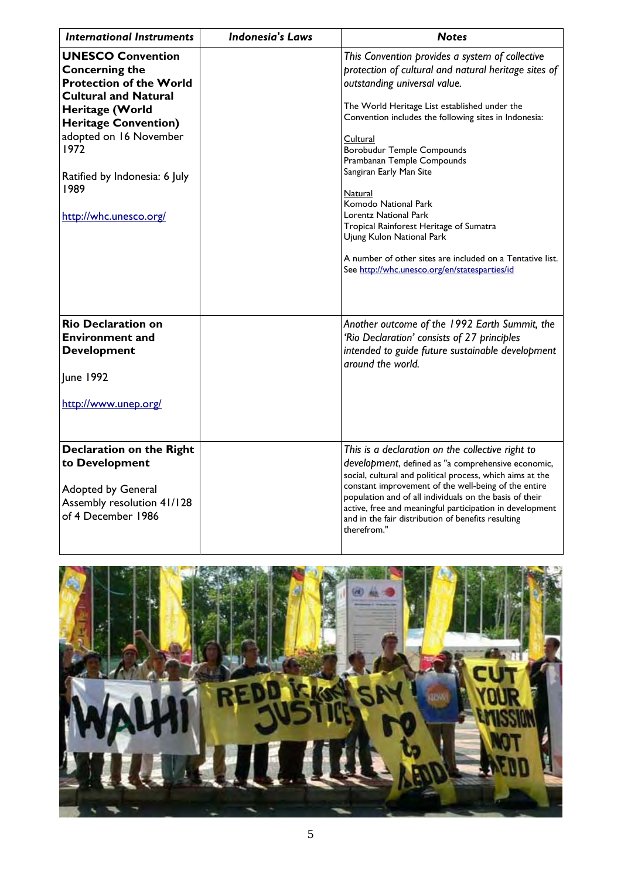| <b>International Instruments</b>                                                                                                                                                                                                                                          | <b>Indonesia's Laws</b> | <b>Notes</b>                                                                                                                                                                                                                                                                                                                                                                                                                                                                                                                                                                                                  |
|---------------------------------------------------------------------------------------------------------------------------------------------------------------------------------------------------------------------------------------------------------------------------|-------------------------|---------------------------------------------------------------------------------------------------------------------------------------------------------------------------------------------------------------------------------------------------------------------------------------------------------------------------------------------------------------------------------------------------------------------------------------------------------------------------------------------------------------------------------------------------------------------------------------------------------------|
| <b>UNESCO Convention</b><br><b>Concerning the</b><br><b>Protection of the World</b><br><b>Cultural and Natural</b><br>Heritage (World<br><b>Heritage Convention)</b><br>adopted on 16 November<br>1972<br>Ratified by Indonesia: 6 July<br>1989<br>http://whc.unesco.org/ |                         | This Convention provides a system of collective<br>protection of cultural and natural heritage sites of<br>outstanding universal value.<br>The World Heritage List established under the<br>Convention includes the following sites in Indonesia:<br>Cultural<br>Borobudur Temple Compounds<br>Prambanan Temple Compounds<br>Sangiran Early Man Site<br><b>Natural</b><br>Komodo National Park<br>Lorentz National Park<br>Tropical Rainforest Heritage of Sumatra<br>Ujung Kulon National Park<br>A number of other sites are included on a Tentative list.<br>See http://whc.unesco.org/en/statesparties/id |
| <b>Rio Declaration on</b><br><b>Environment and</b><br><b>Development</b><br>June 1992<br>http://www.unep.org/                                                                                                                                                            |                         | Another outcome of the 1992 Earth Summit, the<br>'Rio Declaration' consists of 27 principles<br>intended to guide future sustainable development<br>around the world.                                                                                                                                                                                                                                                                                                                                                                                                                                         |
| <b>Declaration on the Right</b><br>to Development<br>Adopted by General<br>Assembly resolution 41/128<br>of 4 December 1986                                                                                                                                               |                         | This is a declaration on the collective right to<br>development, defined as "a comprehensive economic,<br>social, cultural and political process, which aims at the<br>constant improvement of the well-being of the entire<br>population and of all individuals on the basis of their<br>active, free and meaningful participation in development<br>and in the fair distribution of benefits resulting<br>therefrom."                                                                                                                                                                                       |

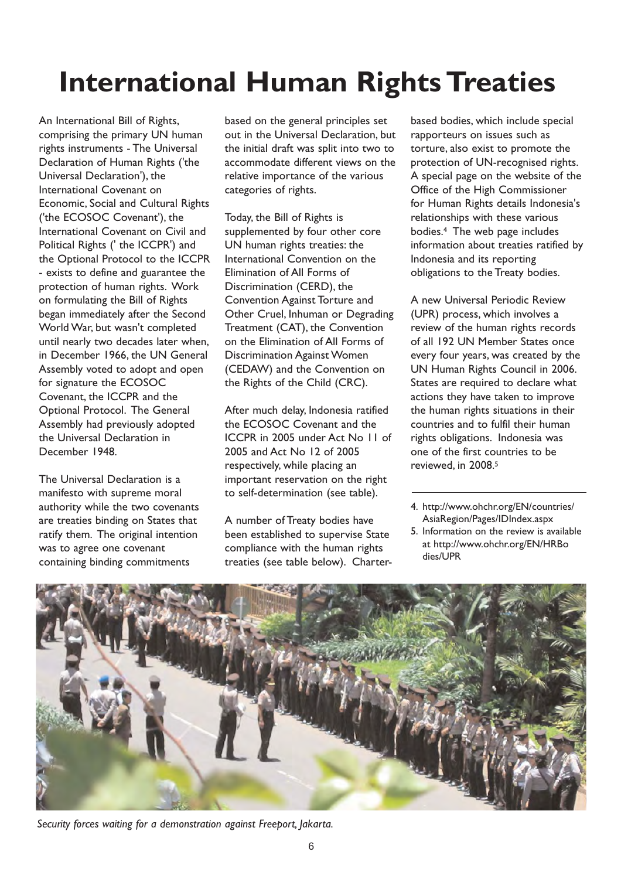# **International Human Rights Treaties**

An International Bill of Rights, comprising the primary UN human rights instruments - The Universal Declaration of Human Rights ('the Universal Declaration'), the International Covenant on Economic, Social and Cultural Rights ('the ECOSOC Covenant'), the International Covenant on Civil and Political Rights (' the ICCPR') and the Optional Protocol to the ICCPR - exists to define and guarantee the protection of human rights. Work on formulating the Bill of Rights began immediately after the Second World War, but wasn't completed until nearly two decades later when, in December 1966, the UN General Assembly voted to adopt and open for signature the ECOSOC Covenant, the ICCPR and the Optional Protocol. The General Assembly had previously adopted the Universal Declaration in December 1948.

The Universal Declaration is a manifesto with supreme moral authority while the two covenants are treaties binding on States that ratify them. The original intention was to agree one covenant containing binding commitments

based on the general principles set out in the Universal Declaration, but the initial draft was split into two to accommodate different views on the relative importance of the various categories of rights.

Today, the Bill of Rights is supplemented by four other core UN human rights treaties: the International Convention on the Elimination of All Forms of Discrimination (CERD), the Convention Against Torture and Other Cruel, Inhuman or Degrading Treatment (CAT), the Convention on the Elimination of All Forms of Discrimination Against Women (CEDAW) and the Convention on the Rights of the Child (CRC).

After much delay, Indonesia ratified the ECOSOC Covenant and the ICCPR in 2005 under Act No 11 of 2005 and Act No 12 of 2005 respectively, while placing an important reservation on the right to self-determination (see table).

A number of Treaty bodies have been established to supervise State compliance with the human rights treaties (see table below). Charter-

based bodies, which include special rapporteurs on issues such as torture, also exist to promote the protection of UN-recognised rights. A special page on the website of the Office of the High Commissioner for Human Rights details Indonesia's relationships with these various bodies.4 The web page includes information about treaties ratified by Indonesia and its reporting obligations to the Treaty bodies.

A new Universal Periodic Review (UPR) process, which involves a review of the human rights records of all 192 UN Member States once every four years, was created by the UN Human Rights Council in 2006. States are required to declare what actions they have taken to improve the human rights situations in their countries and to fulfil their human rights obligations. Indonesia was one of the first countries to be reviewed, in 2008.5

- 4. http://www.ohchr.org/EN/countries/ AsiaRegion/Pages/IDIndex.aspx
- 5. Information on the review is available at http://www.ohchr.org/EN/HRBo dies/UPR



*Security forces waiting for a demonstration against Freeport, Jakarta.*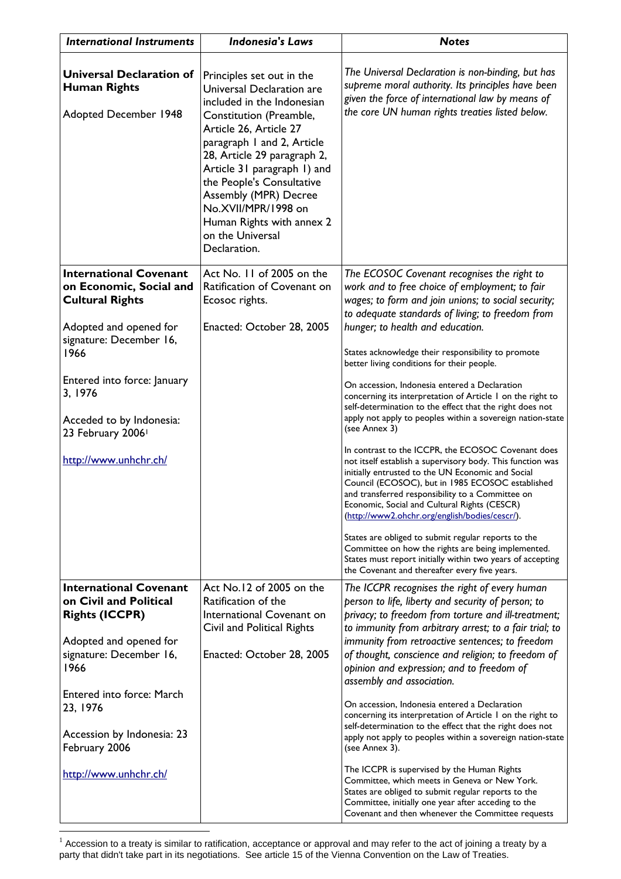| <b>International Instruments</b>                                                       | <b>Indonesia's Laws</b>                                                                                                                                                                                                                                                                                                                                                             | <b>Notes</b>                                                                                                                                                                                                                                                                                                                                                                    |
|----------------------------------------------------------------------------------------|-------------------------------------------------------------------------------------------------------------------------------------------------------------------------------------------------------------------------------------------------------------------------------------------------------------------------------------------------------------------------------------|---------------------------------------------------------------------------------------------------------------------------------------------------------------------------------------------------------------------------------------------------------------------------------------------------------------------------------------------------------------------------------|
| <b>Universal Declaration of</b><br><b>Human Rights</b><br><b>Adopted December 1948</b> | Principles set out in the<br>Universal Declaration are<br>included in the Indonesian<br>Constitution (Preamble,<br>Article 26, Article 27<br>paragraph 1 and 2, Article<br>28, Article 29 paragraph 2,<br>Article 31 paragraph 1) and<br>the People's Consultative<br>Assembly (MPR) Decree<br>No.XVII/MPR/1998 on<br>Human Rights with annex 2<br>on the Universal<br>Declaration. | The Universal Declaration is non-binding, but has<br>supreme moral authority. Its principles have been<br>given the force of international law by means of<br>the core UN human rights treaties listed below.                                                                                                                                                                   |
| <b>International Covenant</b><br>on Economic, Social and<br><b>Cultural Rights</b>     | Act No. 11 of 2005 on the<br>Ratification of Covenant on<br>Ecosoc rights.                                                                                                                                                                                                                                                                                                          | The ECOSOC Covenant recognises the right to<br>work and to free choice of employment; to fair<br>wages; to form and join unions; to social security;<br>to adequate standards of living; to freedom from                                                                                                                                                                        |
| Adopted and opened for<br>signature: December 16,                                      | Enacted: October 28, 2005                                                                                                                                                                                                                                                                                                                                                           | hunger; to health and education.                                                                                                                                                                                                                                                                                                                                                |
| 1966                                                                                   |                                                                                                                                                                                                                                                                                                                                                                                     | States acknowledge their responsibility to promote<br>better living conditions for their people.                                                                                                                                                                                                                                                                                |
| Entered into force: January<br>3, 1976                                                 |                                                                                                                                                                                                                                                                                                                                                                                     | On accession, Indonesia entered a Declaration<br>concerning its interpretation of Article I on the right to<br>self-determination to the effect that the right does not                                                                                                                                                                                                         |
| Acceded to by Indonesia:<br>23 February 2006 <sup>1</sup>                              |                                                                                                                                                                                                                                                                                                                                                                                     | apply not apply to peoples within a sovereign nation-state<br>(see Annex 3)                                                                                                                                                                                                                                                                                                     |
| http://www.unhchr.ch/                                                                  |                                                                                                                                                                                                                                                                                                                                                                                     | In contrast to the ICCPR, the ECOSOC Covenant does<br>not itself establish a supervisory body. This function was<br>initially entrusted to the UN Economic and Social<br>Council (ECOSOC), but in 1985 ECOSOC established<br>and transferred responsibility to a Committee on<br>Economic, Social and Cultural Rights (CESCR)<br>(http://www2.ohchr.org/english/bodies/cescr/). |
|                                                                                        |                                                                                                                                                                                                                                                                                                                                                                                     | States are obliged to submit regular reports to the<br>Committee on how the rights are being implemented.<br>States must report initially within two years of accepting<br>the Covenant and thereafter every five years.                                                                                                                                                        |
| <b>International Covenant</b><br>on Civil and Political<br><b>Rights (ICCPR)</b>       | Act No.12 of 2005 on the<br>Ratification of the<br>International Covenant on<br>Civil and Political Rights                                                                                                                                                                                                                                                                          | The ICCPR recognises the right of every human<br>person to life, liberty and security of person; to<br>privacy; to freedom from torture and ill-treatment;<br>to immunity from arbitrary arrest; to a fair trial; to                                                                                                                                                            |
| Adopted and opened for                                                                 |                                                                                                                                                                                                                                                                                                                                                                                     | immunity from retroactive sentences; to freedom                                                                                                                                                                                                                                                                                                                                 |
| signature: December 16,<br>1966                                                        | Enacted: October 28, 2005                                                                                                                                                                                                                                                                                                                                                           | of thought, conscience and religion; to freedom of<br>opinion and expression; and to freedom of<br>assembly and association.                                                                                                                                                                                                                                                    |
| Entered into force: March<br>23, 1976                                                  |                                                                                                                                                                                                                                                                                                                                                                                     | On accession, Indonesia entered a Declaration<br>concerning its interpretation of Article 1 on the right to<br>self-determination to the effect that the right does not                                                                                                                                                                                                         |
| Accession by Indonesia: 23<br>February 2006                                            |                                                                                                                                                                                                                                                                                                                                                                                     | apply not apply to peoples within a sovereign nation-state<br>(see Annex 3).                                                                                                                                                                                                                                                                                                    |
| http://www.unhchr.ch/                                                                  |                                                                                                                                                                                                                                                                                                                                                                                     | The ICCPR is supervised by the Human Rights<br>Committee, which meets in Geneva or New York.<br>States are obliged to submit regular reports to the<br>Committee, initially one year after acceding to the<br>Covenant and then whenever the Committee requests                                                                                                                 |

 $1$  Accession to a treaty is similar to ratification, acceptance or approval and may refer to the act of joining a treaty by a party that didn't take part in its negotiations. See article 15 of the Vienna Convention on the Law of Treaties.

 $\overline{a}$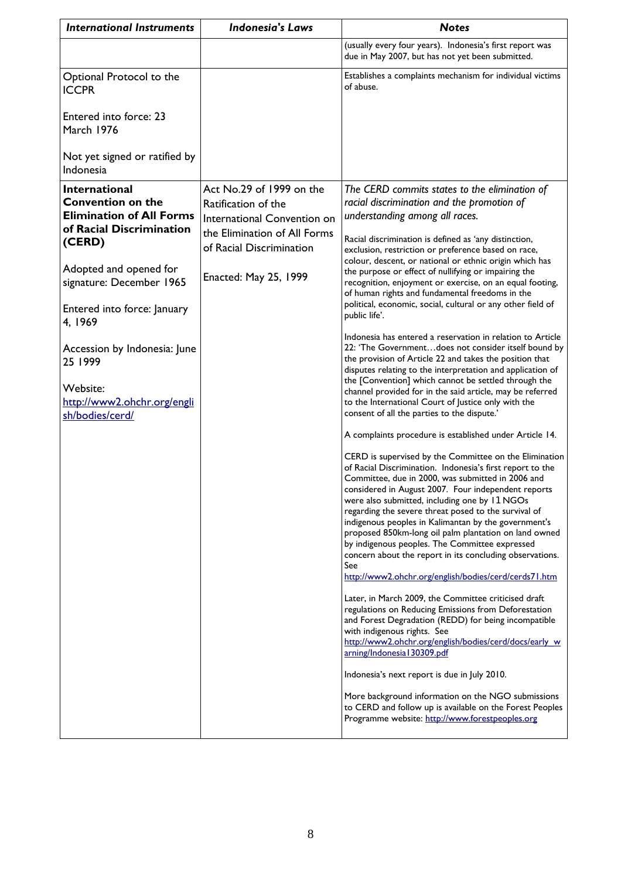| <b>International Instruments</b>                                                                                                                                                                                                                                                                                                   | <b>Indonesia's Laws</b>                                                                                                                                                    | <b>Notes</b>                                                                                                                                                                                                                                                                                                                                                                                                                                                                                                                                                                                                                                                                                                                                                                                                                                                                                                                                                                                                                                                                                                                                                                                                                                                                                                                                                                                                                                                                                                                                                                                                                                                                                                                                                                                                                                                                                                                                                                                                                                                                                    |
|------------------------------------------------------------------------------------------------------------------------------------------------------------------------------------------------------------------------------------------------------------------------------------------------------------------------------------|----------------------------------------------------------------------------------------------------------------------------------------------------------------------------|-------------------------------------------------------------------------------------------------------------------------------------------------------------------------------------------------------------------------------------------------------------------------------------------------------------------------------------------------------------------------------------------------------------------------------------------------------------------------------------------------------------------------------------------------------------------------------------------------------------------------------------------------------------------------------------------------------------------------------------------------------------------------------------------------------------------------------------------------------------------------------------------------------------------------------------------------------------------------------------------------------------------------------------------------------------------------------------------------------------------------------------------------------------------------------------------------------------------------------------------------------------------------------------------------------------------------------------------------------------------------------------------------------------------------------------------------------------------------------------------------------------------------------------------------------------------------------------------------------------------------------------------------------------------------------------------------------------------------------------------------------------------------------------------------------------------------------------------------------------------------------------------------------------------------------------------------------------------------------------------------------------------------------------------------------------------------------------------------|
|                                                                                                                                                                                                                                                                                                                                    |                                                                                                                                                                            | (usually every four years). Indonesia's first report was<br>due in May 2007, but has not yet been submitted.                                                                                                                                                                                                                                                                                                                                                                                                                                                                                                                                                                                                                                                                                                                                                                                                                                                                                                                                                                                                                                                                                                                                                                                                                                                                                                                                                                                                                                                                                                                                                                                                                                                                                                                                                                                                                                                                                                                                                                                    |
| Optional Protocol to the<br><b>ICCPR</b>                                                                                                                                                                                                                                                                                           |                                                                                                                                                                            | Establishes a complaints mechanism for individual victims<br>of abuse.                                                                                                                                                                                                                                                                                                                                                                                                                                                                                                                                                                                                                                                                                                                                                                                                                                                                                                                                                                                                                                                                                                                                                                                                                                                                                                                                                                                                                                                                                                                                                                                                                                                                                                                                                                                                                                                                                                                                                                                                                          |
| Entered into force: 23<br>March 1976                                                                                                                                                                                                                                                                                               |                                                                                                                                                                            |                                                                                                                                                                                                                                                                                                                                                                                                                                                                                                                                                                                                                                                                                                                                                                                                                                                                                                                                                                                                                                                                                                                                                                                                                                                                                                                                                                                                                                                                                                                                                                                                                                                                                                                                                                                                                                                                                                                                                                                                                                                                                                 |
| Not yet signed or ratified by<br>Indonesia                                                                                                                                                                                                                                                                                         |                                                                                                                                                                            |                                                                                                                                                                                                                                                                                                                                                                                                                                                                                                                                                                                                                                                                                                                                                                                                                                                                                                                                                                                                                                                                                                                                                                                                                                                                                                                                                                                                                                                                                                                                                                                                                                                                                                                                                                                                                                                                                                                                                                                                                                                                                                 |
| <b>International</b><br><b>Convention on the</b><br><b>Elimination of All Forms</b><br>of Racial Discrimination<br>(CERD)<br>Adopted and opened for<br>signature: December 1965<br>Entered into force: January<br>4, 1969<br>Accession by Indonesia: June<br>25 1999<br>Website:<br>http://www2.ohchr.org/engli<br>sh/bodies/cerd/ | Act No.29 of 1999 on the<br>Ratification of the<br>International Convention on<br>the Elimination of All Forms<br>of Racial Discrimination<br><b>Enacted: May 25, 1999</b> | The CERD commits states to the elimination of<br>racial discrimination and the promotion of<br>understanding among all races.<br>Racial discrimination is defined as 'any distinction,<br>exclusion, restriction or preference based on race,<br>colour, descent, or national or ethnic origin which has<br>the purpose or effect of nullifying or impairing the<br>recognition, enjoyment or exercise, on an equal footing,<br>of human rights and fundamental freedoms in the<br>political, economic, social, cultural or any other field of<br>public life'.<br>Indonesia has entered a reservation in relation to Article<br>22: 'The Governmentdoes not consider itself bound by<br>the provision of Article 22 and takes the position that<br>disputes relating to the interpretation and application of<br>the [Convention] which cannot be settled through the<br>channel provided for in the said article, may be referred<br>to the International Court of Justice only with the<br>consent of all the parties to the dispute.'<br>A complaints procedure is established under Article 14.<br>CERD is supervised by the Committee on the Elimination<br>of Racial Discrimination. Indonesia's first report to the<br>Committee, due in 2000, was submitted in 2006 and<br>considered in August 2007. Four independent reports<br>were also submitted, including one by 11 NGOs<br>regarding the severe threat posed to the survival of<br>indigenous peoples in Kalimantan by the government's<br>proposed 850km-long oil palm plantation on land owned<br>by indigenous peoples. The Committee expressed<br>concern about the report in its concluding observations.<br>See<br>http://www2.ohchr.org/english/bodies/cerd/cerds71.htm<br>Later, in March 2009, the Committee criticised draft<br>regulations on Reducing Emissions from Deforestation<br>and Forest Degradation (REDD) for being incompatible<br>with indigenous rights. See<br>http://www2.ohchr.org/english/bodies/cerd/docs/early_w<br>arning/Indonesia 130309.pdf<br>Indonesia's next report is due in July 2010. |
|                                                                                                                                                                                                                                                                                                                                    |                                                                                                                                                                            | More background information on the NGO submissions<br>to CERD and follow up is available on the Forest Peoples<br>Programme website: http://www.forestpeoples.org                                                                                                                                                                                                                                                                                                                                                                                                                                                                                                                                                                                                                                                                                                                                                                                                                                                                                                                                                                                                                                                                                                                                                                                                                                                                                                                                                                                                                                                                                                                                                                                                                                                                                                                                                                                                                                                                                                                               |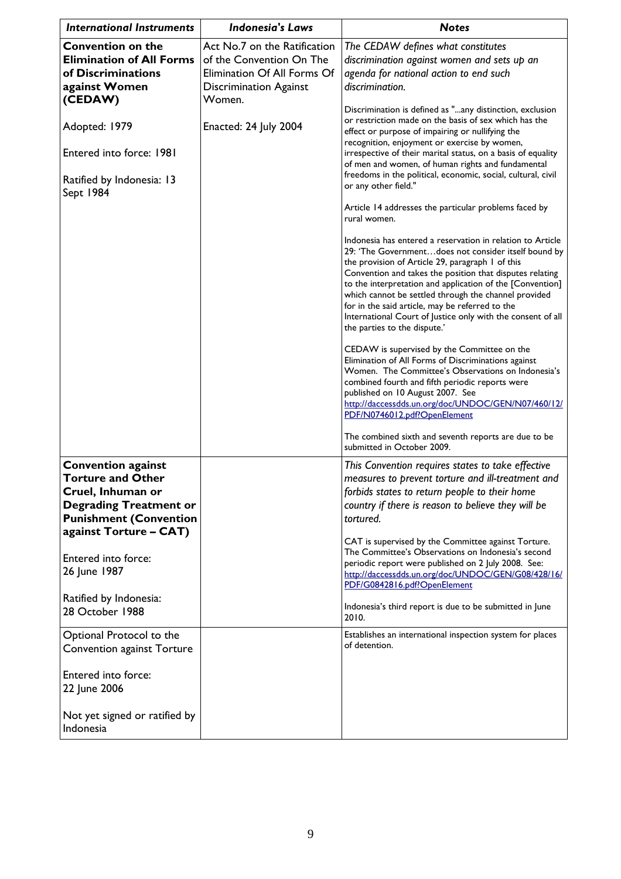| <b>International Instruments</b>                                                                                                                                       | <b>Indonesia's Laws</b>                                                                                                            | <b>Notes</b>                                                                                                                                                                                                                                                                                                                                                                                                                                                                                              |
|------------------------------------------------------------------------------------------------------------------------------------------------------------------------|------------------------------------------------------------------------------------------------------------------------------------|-----------------------------------------------------------------------------------------------------------------------------------------------------------------------------------------------------------------------------------------------------------------------------------------------------------------------------------------------------------------------------------------------------------------------------------------------------------------------------------------------------------|
| <b>Convention on the</b><br><b>Elimination of All Forms</b><br>of Discriminations<br>against Women<br>(CEDAW)                                                          | Act No.7 on the Ratification<br>of the Convention On The<br>Elimination Of All Forms Of<br><b>Discrimination Against</b><br>Women. | The CEDAW defines what constitutes<br>discrimination against women and sets up an<br>agenda for national action to end such<br>discrimination.<br>Discrimination is defined as "any distinction, exclusion                                                                                                                                                                                                                                                                                                |
| Adopted: 1979                                                                                                                                                          | Enacted: 24 July 2004                                                                                                              | or restriction made on the basis of sex which has the<br>effect or purpose of impairing or nullifying the<br>recognition, enjoyment or exercise by women,                                                                                                                                                                                                                                                                                                                                                 |
| Entered into force: 1981                                                                                                                                               |                                                                                                                                    | irrespective of their marital status, on a basis of equality<br>of men and women, of human rights and fundamental<br>freedoms in the political, economic, social, cultural, civil                                                                                                                                                                                                                                                                                                                         |
| Ratified by Indonesia: 13<br>Sept 1984                                                                                                                                 |                                                                                                                                    | or any other field."                                                                                                                                                                                                                                                                                                                                                                                                                                                                                      |
|                                                                                                                                                                        |                                                                                                                                    | Article 14 addresses the particular problems faced by<br>rural women.                                                                                                                                                                                                                                                                                                                                                                                                                                     |
|                                                                                                                                                                        |                                                                                                                                    | Indonesia has entered a reservation in relation to Article<br>29: 'The Governmentdoes not consider itself bound by<br>the provision of Article 29, paragraph 1 of this<br>Convention and takes the position that disputes relating<br>to the interpretation and application of the [Convention]<br>which cannot be settled through the channel provided<br>for in the said article, may be referred to the<br>International Court of Justice only with the consent of all<br>the parties to the dispute.' |
|                                                                                                                                                                        |                                                                                                                                    | CEDAW is supervised by the Committee on the<br>Elimination of All Forms of Discriminations against<br>Women. The Committee's Observations on Indonesia's<br>combined fourth and fifth periodic reports were<br>published on 10 August 2007. See<br>http://daccessdds.un.org/doc/UNDOC/GEN/N07/460/12/<br>PDF/N0746012.pdf?OpenElement                                                                                                                                                                     |
|                                                                                                                                                                        |                                                                                                                                    | The combined sixth and seventh reports are due to be<br>submitted in October 2009.                                                                                                                                                                                                                                                                                                                                                                                                                        |
| <b>Convention against</b><br><b>Torture and Other</b><br>Cruel, Inhuman or<br><b>Degrading Treatment or</b><br><b>Punishment (Convention</b><br>against Torture - CAT) |                                                                                                                                    | This Convention requires states to take effective<br>measures to prevent torture and ill-treatment and<br>forbids states to return people to their home<br>country if there is reason to believe they will be<br>tortured.                                                                                                                                                                                                                                                                                |
| Entered into force:<br>26 June 1987                                                                                                                                    |                                                                                                                                    | CAT is supervised by the Committee against Torture.<br>The Committee's Observations on Indonesia's second<br>periodic report were published on 2 July 2008. See:<br>http://daccessdds.un.org/doc/UNDOC/GEN/G08/428/16/<br>PDF/G0842816.pdf?OpenElement                                                                                                                                                                                                                                                    |
| Ratified by Indonesia:<br>28 October 1988                                                                                                                              |                                                                                                                                    | Indonesia's third report is due to be submitted in June<br>2010.                                                                                                                                                                                                                                                                                                                                                                                                                                          |
| Optional Protocol to the<br>Convention against Torture                                                                                                                 |                                                                                                                                    | Establishes an international inspection system for places<br>of detention.                                                                                                                                                                                                                                                                                                                                                                                                                                |
| Entered into force:<br>22 June 2006                                                                                                                                    |                                                                                                                                    |                                                                                                                                                                                                                                                                                                                                                                                                                                                                                                           |
| Not yet signed or ratified by<br>Indonesia                                                                                                                             |                                                                                                                                    |                                                                                                                                                                                                                                                                                                                                                                                                                                                                                                           |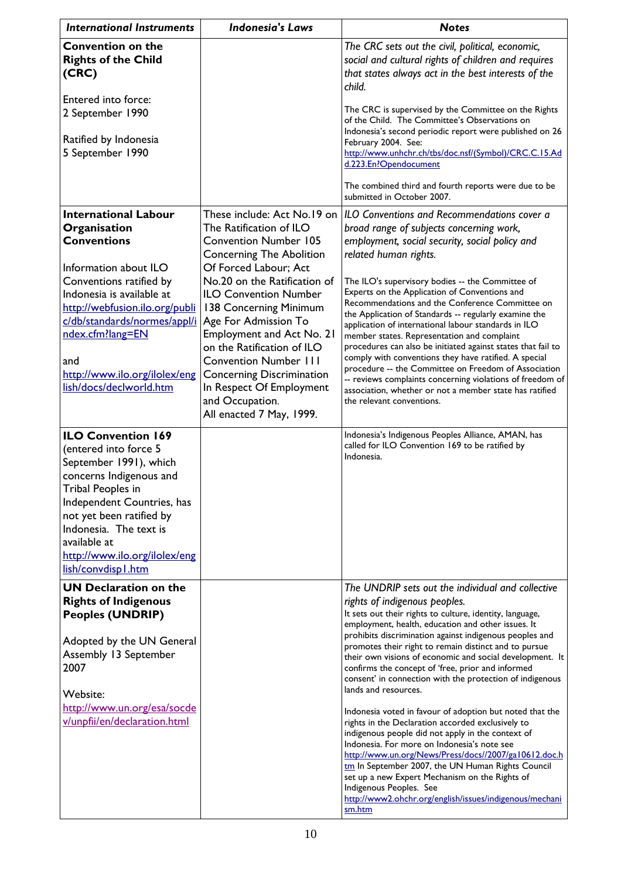| <b>International Instruments</b>                                                                                                                                                                                                                                                         | <b>Indonesia's Laws</b>                                                                                                                                                                                                                                                                                                                                  | <b>Notes</b>                                                                                                                                                                                                                                                                                                                                                                                                                                                                                                                                                                                                                                               |
|------------------------------------------------------------------------------------------------------------------------------------------------------------------------------------------------------------------------------------------------------------------------------------------|----------------------------------------------------------------------------------------------------------------------------------------------------------------------------------------------------------------------------------------------------------------------------------------------------------------------------------------------------------|------------------------------------------------------------------------------------------------------------------------------------------------------------------------------------------------------------------------------------------------------------------------------------------------------------------------------------------------------------------------------------------------------------------------------------------------------------------------------------------------------------------------------------------------------------------------------------------------------------------------------------------------------------|
| <b>Convention on the</b><br><b>Rights of the Child</b><br>(CRC)                                                                                                                                                                                                                          |                                                                                                                                                                                                                                                                                                                                                          | The CRC sets out the civil, political, economic,<br>social and cultural rights of children and requires<br>that states always act in the best interests of the<br>child.                                                                                                                                                                                                                                                                                                                                                                                                                                                                                   |
| Entered into force:<br>2 September 1990                                                                                                                                                                                                                                                  |                                                                                                                                                                                                                                                                                                                                                          | The CRC is supervised by the Committee on the Rights<br>of the Child. The Committee's Observations on                                                                                                                                                                                                                                                                                                                                                                                                                                                                                                                                                      |
| Ratified by Indonesia<br>5 September 1990                                                                                                                                                                                                                                                |                                                                                                                                                                                                                                                                                                                                                          | Indonesia's second periodic report were published on 26<br>February 2004. See:<br>http://www.unhchr.ch/tbs/doc.nsf/(Symbol)/CRC.C.15.Ad<br>d.223.En?Opendocument<br>The combined third and fourth reports were due to be                                                                                                                                                                                                                                                                                                                                                                                                                                   |
|                                                                                                                                                                                                                                                                                          |                                                                                                                                                                                                                                                                                                                                                          | submitted in October 2007.                                                                                                                                                                                                                                                                                                                                                                                                                                                                                                                                                                                                                                 |
| <b>International Labour</b><br>Organisation<br><b>Conventions</b>                                                                                                                                                                                                                        | These include: Act No.19 on<br>The Ratification of ILO<br><b>Convention Number 105</b><br><b>Concerning The Abolition</b>                                                                                                                                                                                                                                | ILO Conventions and Recommendations cover a<br>broad range of subjects concerning work,<br>employment, social security, social policy and<br>related human rights.                                                                                                                                                                                                                                                                                                                                                                                                                                                                                         |
| Information about ILO<br>Conventions ratified by<br>Indonesia is available at<br>http://webfusion.ilo.org/publi<br>c/db/standards/normes/appl/i<br>ndex.cfm?lang=EN<br>and<br>http://www.ilo.org/ilolex/eng<br>lish/docs/declworld.htm                                                   | Of Forced Labour; Act<br>No.20 on the Ratification of<br><b>ILO Convention Number</b><br>138 Concerning Minimum<br>Age For Admission To<br><b>Employment and Act No. 21</b><br>on the Ratification of ILO<br><b>Convention Number 111</b><br><b>Concerning Discrimination</b><br>In Respect Of Employment<br>and Occupation.<br>All enacted 7 May, 1999. | The ILO's supervisory bodies -- the Committee of<br>Experts on the Application of Conventions and<br>Recommendations and the Conference Committee on<br>the Application of Standards -- regularly examine the<br>application of international labour standards in ILO<br>member states. Representation and complaint<br>procedures can also be initiated against states that fail to<br>comply with conventions they have ratified. A special<br>procedure -- the Committee on Freedom of Association<br>-- reviews complaints concerning violations of freedom of<br>association, whether or not a member state has ratified<br>the relevant conventions. |
| <b>ILO Convention 169</b><br>(entered into force 5<br>September 1991), which<br>concerns Indigenous and<br>Tribal Peoples in<br>Independent Countries, has<br>not yet been ratified by<br>Indonesia. The text is<br>available at<br>http://www.ilo.org/ilolex/eng<br>lish/convdisp I.htm |                                                                                                                                                                                                                                                                                                                                                          | Indonesia's Indigenous Peoples Alliance, AMAN, has<br>called for ILO Convention 169 to be ratified by<br>Indonesia.                                                                                                                                                                                                                                                                                                                                                                                                                                                                                                                                        |
| <b>UN Declaration on the</b><br><b>Rights of Indigenous</b><br><b>Peoples (UNDRIP)</b><br>Adopted by the UN General<br>Assembly 13 September<br>2007<br>Website:                                                                                                                         |                                                                                                                                                                                                                                                                                                                                                          | The UNDRIP sets out the individual and collective<br>rights of indigenous peoples.<br>It sets out their rights to culture, identity, language,<br>employment, health, education and other issues. It<br>prohibits discrimination against indigenous peoples and<br>promotes their right to remain distinct and to pursue<br>their own visions of economic and social development. It<br>confirms the concept of 'free, prior and informed<br>consent' in connection with the protection of indigenous<br>lands and resources.                                                                                                                              |
| http://www.un.org/esa/socde<br>v/unpfii/en/declaration.html                                                                                                                                                                                                                              |                                                                                                                                                                                                                                                                                                                                                          | Indonesia voted in favour of adoption but noted that the<br>rights in the Declaration accorded exclusively to<br>indigenous people did not apply in the context of<br>Indonesia. For more on Indonesia's note see<br>http://www.un.org/News/Press/docs//2007/ga10612.doc.h<br>tm In September 2007, the UN Human Rights Council<br>set up a new Expert Mechanism on the Rights of<br>Indigenous Peoples. See<br>http://www2.ohchr.org/english/issues/indigenous/mechani<br>sm.htm                                                                                                                                                                          |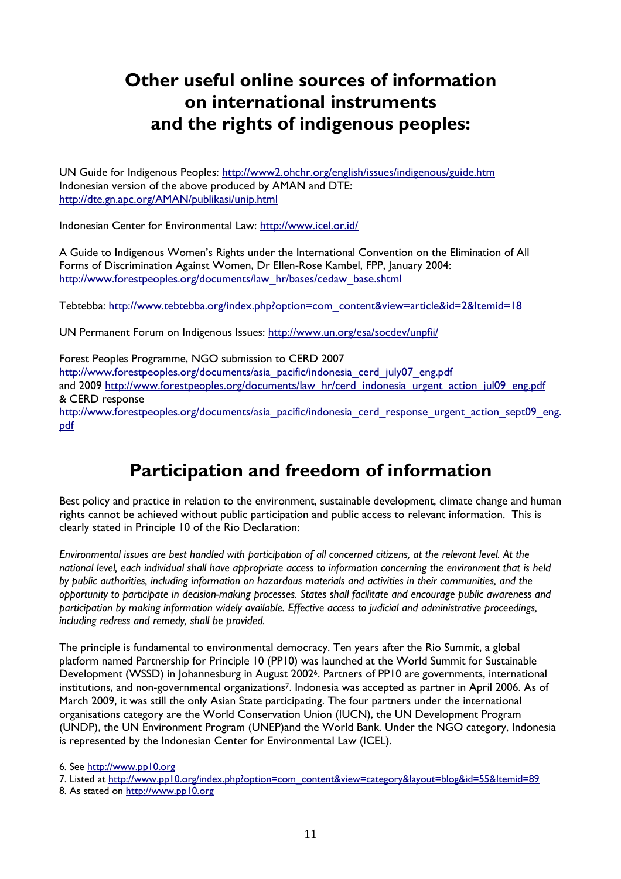# **Other useful online sources of information on international instruments and the rights of indigenous peoples:**

UN Guide for Indigenous Peoples: http://www2.ohchr.org/english/issues/indigenous/guide.htm Indonesian version of the above produced by AMAN and DTE: http://dte.gn.apc.org/AMAN/publikasi/unip.html

Indonesian Center for Environmental Law: http://www.icel.or.id/

A Guide to Indigenous Women's Rights under the International Convention on the Elimination of All Forms of Discrimination Against Women, Dr Ellen-Rose Kambel, FPP, January 2004: http://www.forestpeoples.org/documents/law\_hr/bases/cedaw\_base.shtml

Tebtebba: http://www.tebtebba.org/index.php?option=com\_content&view=article&id=2&Itemid=18

UN Permanent Forum on Indigenous Issues: http://www.un.org/esa/socdev/unpfii/

Forest Peoples Programme, NGO submission to CERD 2007 http://www.forestpeoples.org/documents/asia\_pacific/indonesia\_cerd\_july07\_eng.pdf and 2009 http://www.forestpeoples.org/documents/law\_hr/cerd\_indonesia\_urgent\_action\_jul09\_eng.pdf & CERD response http://www.forestpeoples.org/documents/asia\_pacific/indonesia\_cerd\_response\_urgent\_action\_sept09\_eng. pdf

# **Participation and freedom of information**

Best policy and practice in relation to the environment, sustainable development, climate change and human rights cannot be achieved without public participation and public access to relevant information. This is clearly stated in Principle 10 of the Rio Declaration:

*Environmental issues are best handled with participation of all concerned citizens, at the relevant level. At the national level, each individual shall have appropriate access to information concerning the environment that is held by public authorities, including information on hazardous materials and activities in their communities, and the opportunity to participate in decision-making processes. States shall facilitate and encourage public awareness and participation by making information widely available. Effective access to judicial and administrative proceedings, including redress and remedy, shall be provided.* 

The principle is fundamental to environmental democracy. Ten years after the Rio Summit, a global platform named Partnership for Principle 10 (PP10) was launched at the World Summit for Sustainable Development (WSSD) in Johannesburg in August 20026. Partners of PP10 are governments, international institutions, and non-governmental organizations7. Indonesia was accepted as partner in April 2006. As of March 2009, it was still the only Asian State participating. The four partners under the international organisations category are the World Conservation Union (IUCN), the UN Development Program (UNDP), the UN Environment Program (UNEP)and the World Bank. Under the NGO category, Indonesia is represented by the Indonesian Center for Environmental Law (ICEL).

6. See http://www.pp10.org

<sup>7.</sup> Listed at http://www.pp10.org/index.php?option=com\_content&view=category&layout=blog&id=55&Itemid=89

<sup>8.</sup> As stated on http://www.pp10.org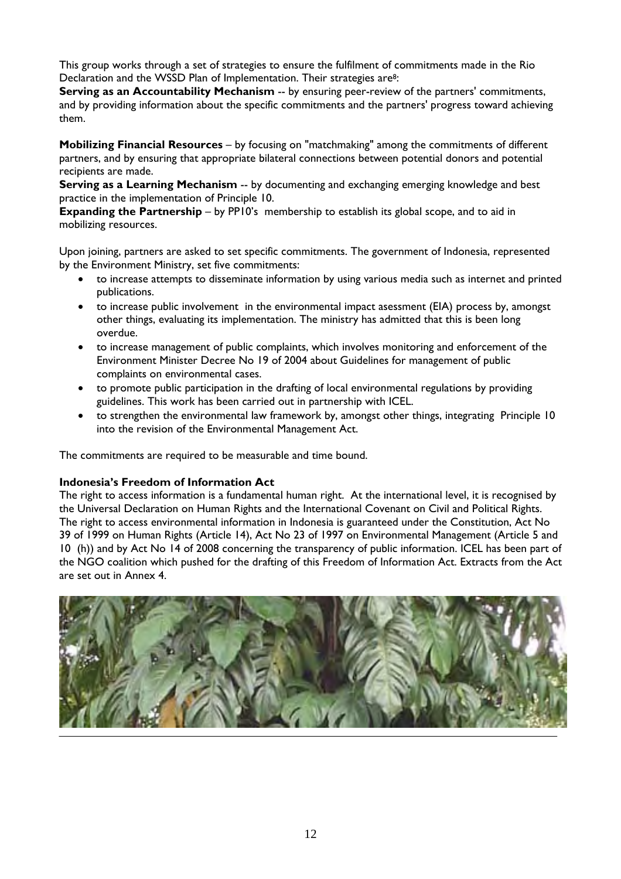This group works through a set of strategies to ensure the fulfilment of commitments made in the Rio Declaration and the WSSD Plan of Implementation. Their strategies are<sup>8</sup>:

**Serving as an Accountability Mechanism** -- by ensuring peer-review of the partners' commitments, and by providing information about the specific commitments and the partners' progress toward achieving them.

**Mobilizing Financial Resources** – by focusing on "matchmaking" among the commitments of different partners, and by ensuring that appropriate bilateral connections between potential donors and potential recipients are made.

**Serving as a Learning Mechanism** -- by documenting and exchanging emerging knowledge and best practice in the implementation of Principle 10.

**Expanding the Partnership** – by PP10's membership to establish its global scope, and to aid in mobilizing resources.

Upon joining, partners are asked to set specific commitments. The government of Indonesia, represented by the Environment Ministry, set five commitments:

- to increase attempts to disseminate information by using various media such as internet and printed publications.
- to increase public involvement in the environmental impact asessment (EIA) process by, amongst other things, evaluating its implementation. The ministry has admitted that this is been long overdue.
- to increase management of public complaints, which involves monitoring and enforcement of the Environment Minister Decree No 19 of 2004 about Guidelines for management of public complaints on environmental cases.
- to promote public participation in the drafting of local environmental regulations by providing guidelines. This work has been carried out in partnership with ICEL.
- to strengthen the environmental law framework by, amongst other things, integrating Principle 10 into the revision of the Environmental Management Act.

The commitments are required to be measurable and time bound.

## **Indonesia's Freedom of Information Act**

The right to access information is a fundamental human right. At the international level, it is recognised by the Universal Declaration on Human Rights and the International Covenant on Civil and Political Rights. The right to access environmental information in Indonesia is guaranteed under the Constitution, Act No 39 of 1999 on Human Rights (Article 14), Act No 23 of 1997 on Environmental Management (Article 5 and 10 (h)) and by Act No 14 of 2008 concerning the transparency of public information. ICEL has been part of the NGO coalition which pushed for the drafting of this Freedom of Information Act. Extracts from the Act are set out in Annex 4.

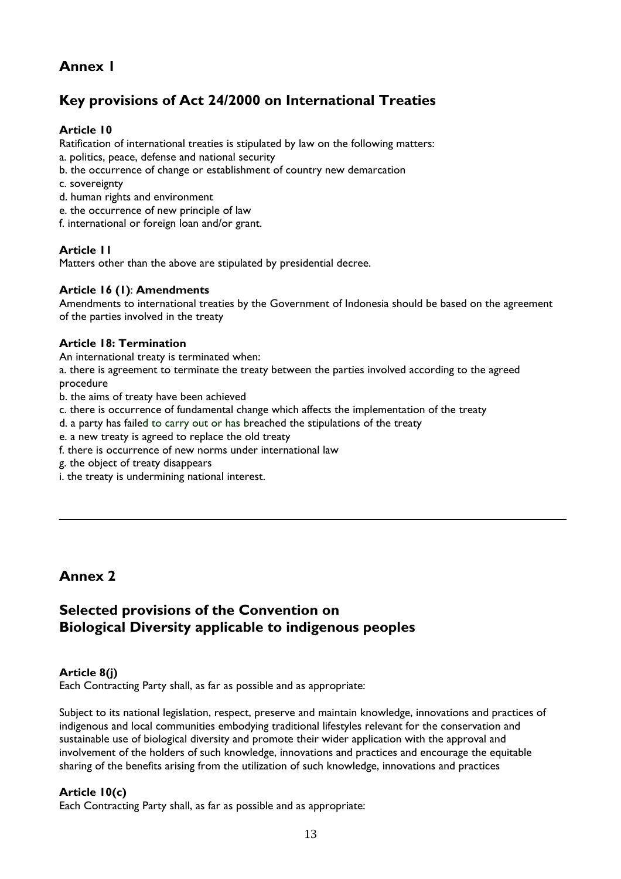# **Annex 1**

# **Key provisions of Act 24/2000 on International Treaties**

## **Article 10**

Ratification of international treaties is stipulated by law on the following matters: a. politics, peace, defense and national security

- b. the occurrence of change or establishment of country new demarcation
- c. sovereignty
- d. human rights and environment
- e. the occurrence of new principle of law
- f. international or foreign loan and/or grant.

## **Article 11**

Matters other than the above are stipulated by presidential decree.

#### **Article 16 (1)**: **Amendments**

Amendments to international treaties by the Government of Indonesia should be based on the agreement of the parties involved in the treaty

#### **Article 18: Termination**

An international treaty is terminated when:

a. there is agreement to terminate the treaty between the parties involved according to the agreed procedure

- b. the aims of treaty have been achieved
- c. there is occurrence of fundamental change which affects the implementation of the treaty
- d. a party has failed to carry out or has breached the stipulations of the treaty
- e. a new treaty is agreed to replace the old treaty
- f. there is occurrence of new norms under international law
- g. the object of treaty disappears
- i. the treaty is undermining national interest.

# **Annex 2**

# **Selected provisions of the Convention on Biological Diversity applicable to indigenous peoples**

## **Article 8(j)**

Each Contracting Party shall, as far as possible and as appropriate:

Subject to its national legislation, respect, preserve and maintain knowledge, innovations and practices of indigenous and local communities embodying traditional lifestyles relevant for the conservation and sustainable use of biological diversity and promote their wider application with the approval and involvement of the holders of such knowledge, innovations and practices and encourage the equitable sharing of the benefits arising from the utilization of such knowledge, innovations and practices

#### **Article 10(c)**

Each Contracting Party shall, as far as possible and as appropriate: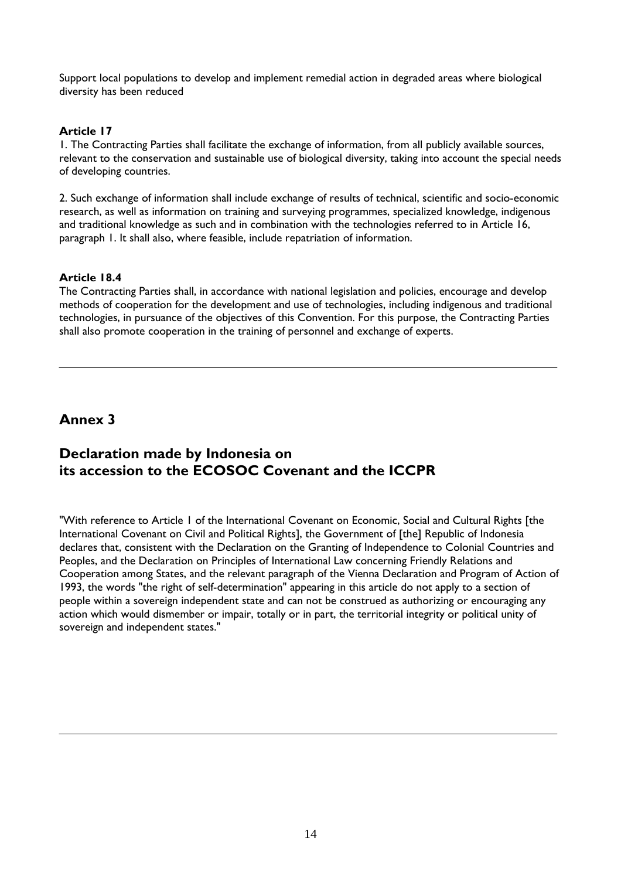Support local populations to develop and implement remedial action in degraded areas where biological diversity has been reduced

## **Article 17**

1. The Contracting Parties shall facilitate the exchange of information, from all publicly available sources, relevant to the conservation and sustainable use of biological diversity, taking into account the special needs of developing countries.

2. Such exchange of information shall include exchange of results of technical, scientific and socio-economic research, as well as information on training and surveying programmes, specialized knowledge, indigenous and traditional knowledge as such and in combination with the technologies referred to in Article 16, paragraph 1. It shall also, where feasible, include repatriation of information.

#### **Article 18.4**

The Contracting Parties shall, in accordance with national legislation and policies, encourage and develop methods of cooperation for the development and use of technologies, including indigenous and traditional technologies, in pursuance of the objectives of this Convention. For this purpose, the Contracting Parties shall also promote cooperation in the training of personnel and exchange of experts.

# **Annex 3**

# **Declaration made by Indonesia on its accession to the ECOSOC Covenant and the ICCPR**

"With reference to Article 1 of the International Covenant on Economic, Social and Cultural Rights [the International Covenant on Civil and Political Rights], the Government of [the] Republic of Indonesia declares that, consistent with the Declaration on the Granting of Independence to Colonial Countries and Peoples, and the Declaration on Principles of International Law concerning Friendly Relations and Cooperation among States, and the relevant paragraph of the Vienna Declaration and Program of Action of 1993, the words "the right of self-determination" appearing in this article do not apply to a section of people within a sovereign independent state and can not be construed as authorizing or encouraging any action which would dismember or impair, totally or in part, the territorial integrity or political unity of sovereign and independent states."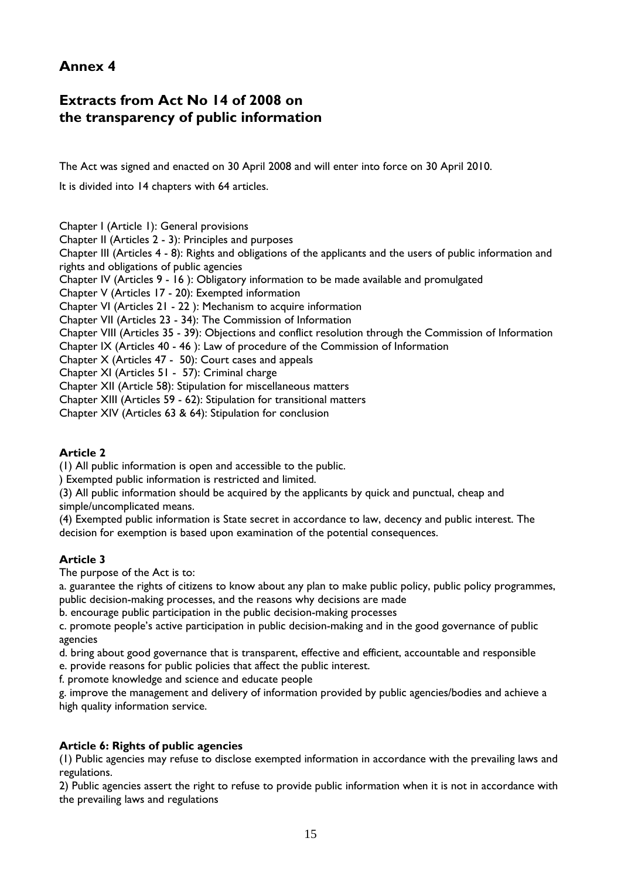# **Annex 4**

# **Extracts from Act No 14 of 2008 on the transparency of public information**

The Act was signed and enacted on 30 April 2008 and will enter into force on 30 April 2010.

It is divided into 14 chapters with 64 articles.

Chapter I (Article 1): General provisions

Chapter II (Articles 2 - 3): Principles and purposes

Chapter III (Articles 4 - 8): Rights and obligations of the applicants and the users of public information and rights and obligations of public agencies

Chapter IV (Articles 9 - 16 ): Obligatory information to be made available and promulgated

Chapter V (Articles 17 - 20): Exempted information

Chapter VI (Articles 21 - 22 ): Mechanism to acquire information

Chapter VII (Articles 23 - 34): The Commission of Information

Chapter VIII (Articles 35 - 39): Objections and conflict resolution through the Commission of Information

Chapter IX (Articles 40 - 46 ): Law of procedure of the Commission of Information

Chapter X (Articles 47 - 50): Court cases and appeals

Chapter XI (Articles 51 - 57): Criminal charge

Chapter XII (Article 58): Stipulation for miscellaneous matters

Chapter XIII (Articles 59 - 62): Stipulation for transitional matters

Chapter XIV (Articles 63 & 64): Stipulation for conclusion

## **Article 2**

(1) All public information is open and accessible to the public.

) Exempted public information is restricted and limited.

(3) All public information should be acquired by the applicants by quick and punctual, cheap and simple/uncomplicated means.

(4) Exempted public information is State secret in accordance to law, decency and public interest. The decision for exemption is based upon examination of the potential consequences.

## **Article 3**

The purpose of the Act is to:

a. guarantee the rights of citizens to know about any plan to make public policy, public policy programmes, public decision-making processes, and the reasons why decisions are made

b. encourage public participation in the public decision-making processes

c. promote people's active participation in public decision-making and in the good governance of public agencies

d. bring about good governance that is transparent, effective and efficient, accountable and responsible e. provide reasons for public policies that affect the public interest.

f. promote knowledge and science and educate people

g. improve the management and delivery of information provided by public agencies/bodies and achieve a high quality information service.

## **Article 6: Rights of public agencies**

(1) Public agencies may refuse to disclose exempted information in accordance with the prevailing laws and regulations.

2) Public agencies assert the right to refuse to provide public information when it is not in accordance with the prevailing laws and regulations